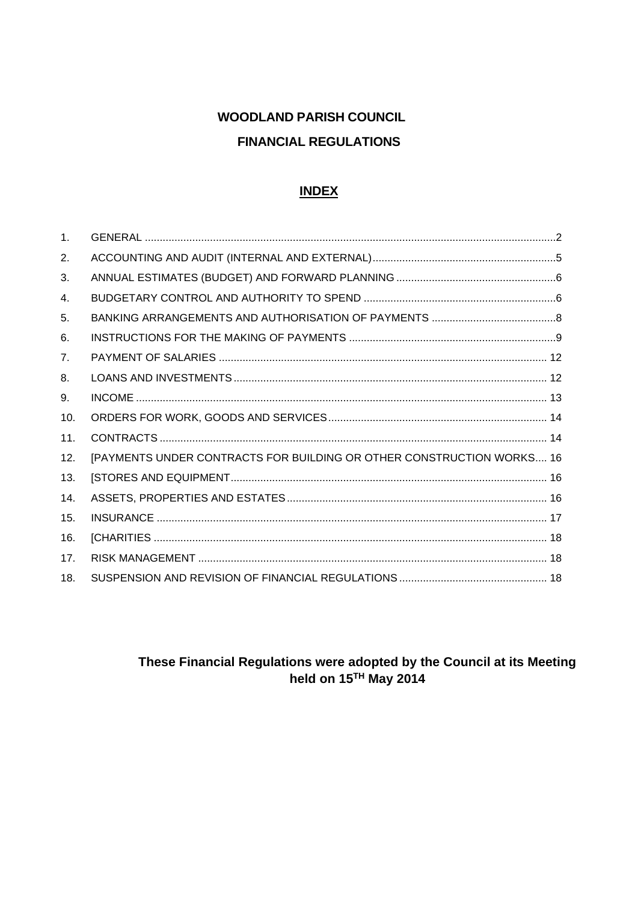# **WOODLAND PARISH COUNCIL FINANCIAL REGULATIONS**

#### **INDEX**

| $\mathbf{1}$ . |                                                                       |
|----------------|-----------------------------------------------------------------------|
| 2.             |                                                                       |
| 3.             |                                                                       |
| 4.             |                                                                       |
| 5.             |                                                                       |
| 6.             |                                                                       |
| 7 <sub>1</sub> |                                                                       |
| 8.             |                                                                       |
| 9.             |                                                                       |
| 10.            |                                                                       |
| 11.            |                                                                       |
| 12.            | [PAYMENTS UNDER CONTRACTS FOR BUILDING OR OTHER CONSTRUCTION WORKS 16 |
| 13.            |                                                                       |
| 14.            |                                                                       |
| 15.            |                                                                       |
| 16.            |                                                                       |
| 17.            |                                                                       |
| 18.            |                                                                       |

# These Financial Regulations were adopted by the Council at its Meeting<br>held on  $15^{TH}$  May 2014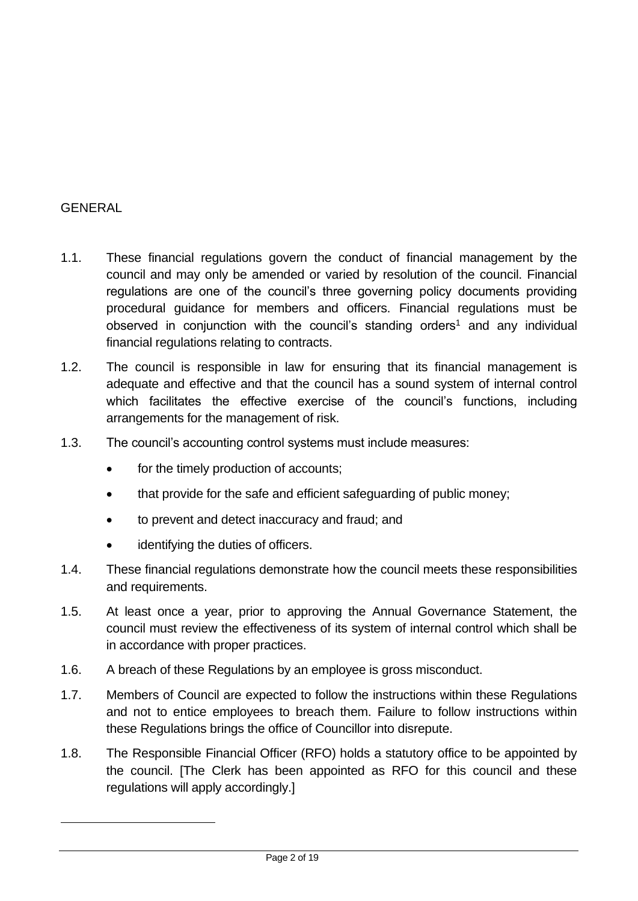#### <span id="page-1-0"></span>**GENERAL**

- 1.1. These financial regulations govern the conduct of financial management by the council and may only be amended or varied by resolution of the council. Financial regulations are one of the council's three governing policy documents providing procedural guidance for members and officers. Financial regulations must be observed in conjunction with the council's standing orders<sup>1</sup> and any individual financial regulations relating to contracts.
- 1.2. The council is responsible in law for ensuring that its financial management is adequate and effective and that the council has a sound system of internal control which facilitates the effective exercise of the council's functions, including arrangements for the management of risk.
- 1.3. The council's accounting control systems must include measures:
	- for the timely production of accounts:
	- that provide for the safe and efficient safeguarding of public money;
	- to prevent and detect inaccuracy and fraud; and
	- identifying the duties of officers.
- 1.4. These financial regulations demonstrate how the council meets these responsibilities and requirements.
- 1.5. At least once a year, prior to approving the Annual Governance Statement, the council must review the effectiveness of its system of internal control which shall be in accordance with proper practices.
- 1.6. A breach of these Regulations by an employee is gross misconduct.
- 1.7. Members of Council are expected to follow the instructions within these Regulations and not to entice employees to breach them. Failure to follow instructions within these Regulations brings the office of Councillor into disrepute.
- 1.8. The Responsible Financial Officer (RFO) holds a statutory office to be appointed by the council. [The Clerk has been appointed as RFO for this council and these regulations will apply accordingly.]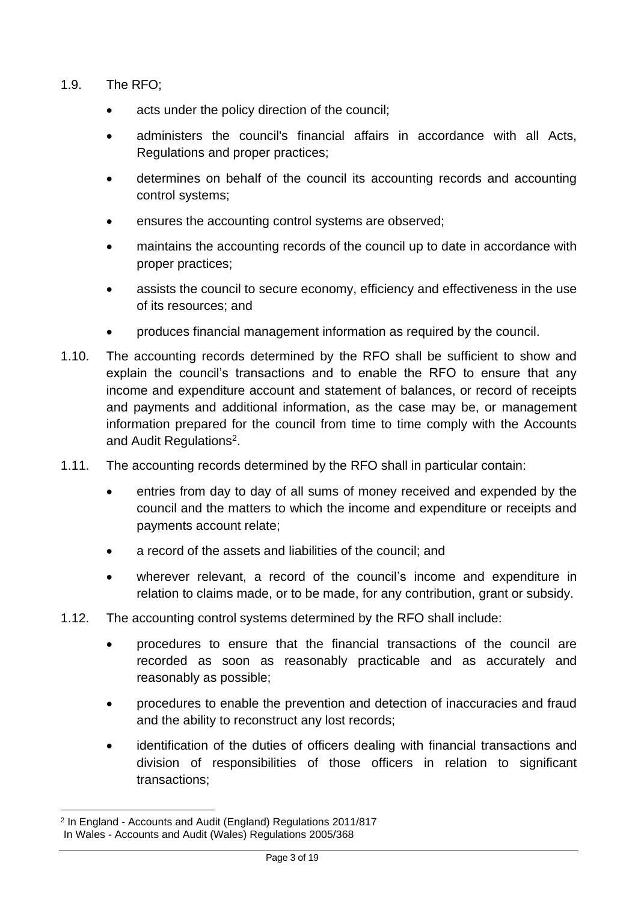- 1.9. The RFO;
	- acts under the policy direction of the council;
	- administers the council's financial affairs in accordance with all Acts, Regulations and proper practices;
	- determines on behalf of the council its accounting records and accounting control systems;
	- ensures the accounting control systems are observed;
	- maintains the accounting records of the council up to date in accordance with proper practices;
	- assists the council to secure economy, efficiency and effectiveness in the use of its resources; and
	- produces financial management information as required by the council.
- 1.10. The accounting records determined by the RFO shall be sufficient to show and explain the council's transactions and to enable the RFO to ensure that any income and expenditure account and statement of balances, or record of receipts and payments and additional information, as the case may be, or management information prepared for the council from time to time comply with the Accounts and Audit Regulations<sup>2</sup>.
- 1.11. The accounting records determined by the RFO shall in particular contain:
	- entries from day to day of all sums of money received and expended by the council and the matters to which the income and expenditure or receipts and payments account relate;
	- a record of the assets and liabilities of the council; and
	- wherever relevant, a record of the council's income and expenditure in relation to claims made, or to be made, for any contribution, grant or subsidy.
- 1.12. The accounting control systems determined by the RFO shall include:
	- procedures to ensure that the financial transactions of the council are recorded as soon as reasonably practicable and as accurately and reasonably as possible;
	- procedures to enable the prevention and detection of inaccuracies and fraud and the ability to reconstruct any lost records;
	- identification of the duties of officers dealing with financial transactions and division of responsibilities of those officers in relation to significant transactions;

<sup>2</sup> In England - Accounts and Audit (England) Regulations 2011/817 In Wales - Accounts and Audit (Wales) Regulations 2005/368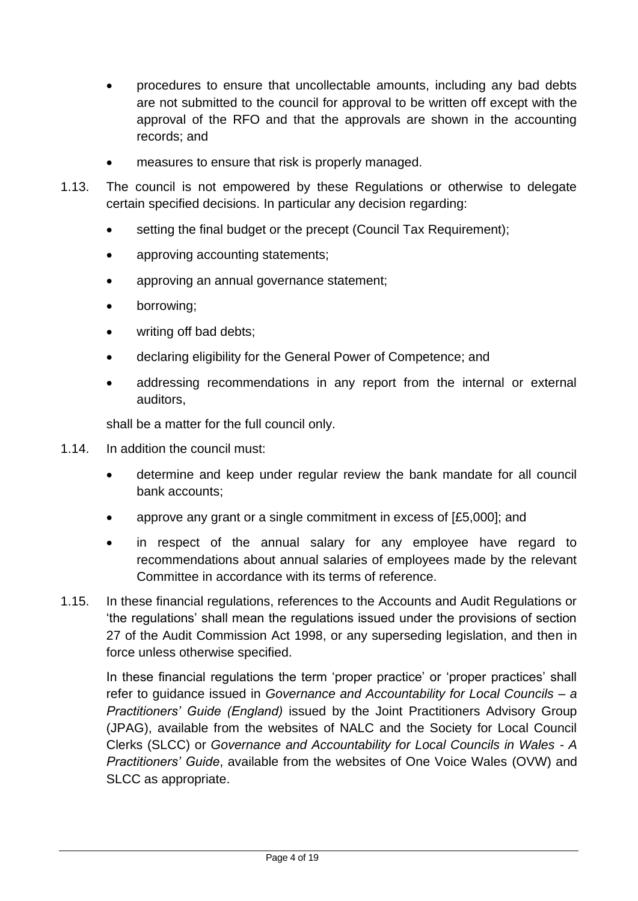- procedures to ensure that uncollectable amounts, including any bad debts are not submitted to the council for approval to be written off except with the approval of the RFO and that the approvals are shown in the accounting records; and
- measures to ensure that risk is properly managed.
- 1.13. The council is not empowered by these Regulations or otherwise to delegate certain specified decisions. In particular any decision regarding:
	- setting the final budget or the precept (Council Tax Requirement):
	- approving accounting statements;
	- approving an annual governance statement;
	- borrowing;
	- writing off bad debts;
	- declaring eligibility for the General Power of Competence; and
	- addressing recommendations in any report from the internal or external auditors,

shall be a matter for the full council only.

- 1.14. In addition the council must:
	- determine and keep under regular review the bank mandate for all council bank accounts;
	- approve any grant or a single commitment in excess of [£5,000]; and
	- in respect of the annual salary for any employee have regard to recommendations about annual salaries of employees made by the relevant Committee in accordance with its terms of reference.
- 1.15. In these financial regulations, references to the Accounts and Audit Regulations or 'the regulations' shall mean the regulations issued under the provisions of section 27 of the Audit Commission Act 1998, or any superseding legislation, and then in force unless otherwise specified.

In these financial regulations the term 'proper practice' or 'proper practices' shall refer to guidance issued in *Governance and Accountability for Local Councils – a Practitioners' Guide (England)* issued by the Joint Practitioners Advisory Group (JPAG), available from the websites of NALC and the Society for Local Council Clerks (SLCC) or *Governance and Accountability for Local Councils in Wales - A Practitioners' Guide*, available from the websites of One Voice Wales (OVW) and SLCC as appropriate.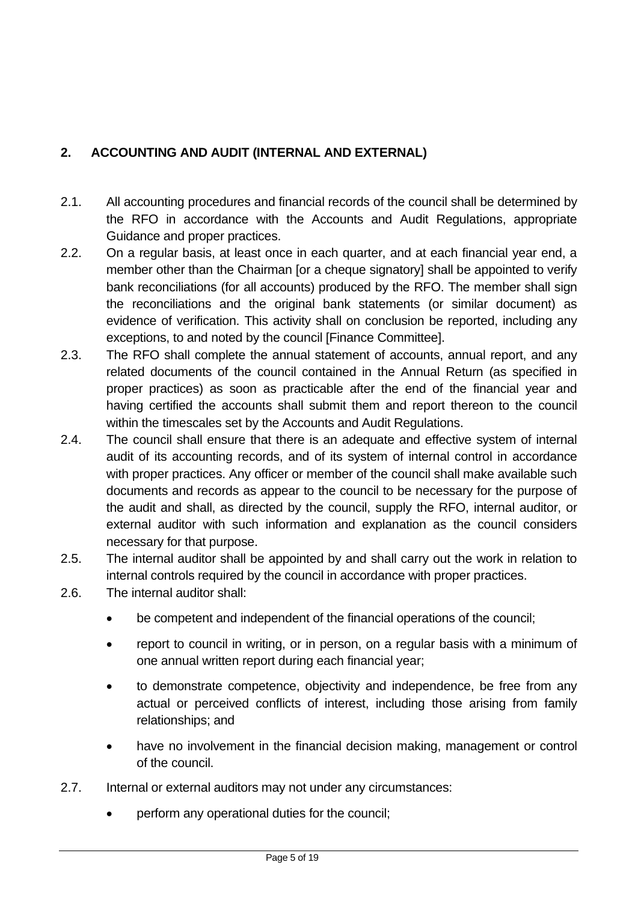# <span id="page-4-0"></span>**2. ACCOUNTING AND AUDIT (INTERNAL AND EXTERNAL)**

- 2.1. All accounting procedures and financial records of the council shall be determined by the RFO in accordance with the Accounts and Audit Regulations, appropriate Guidance and proper practices.
- 2.2. On a regular basis, at least once in each quarter, and at each financial year end, a member other than the Chairman [or a cheque signatory] shall be appointed to verify bank reconciliations (for all accounts) produced by the RFO. The member shall sign the reconciliations and the original bank statements (or similar document) as evidence of verification. This activity shall on conclusion be reported, including any exceptions, to and noted by the council [Finance Committee].
- 2.3. The RFO shall complete the annual statement of accounts, annual report, and any related documents of the council contained in the Annual Return (as specified in proper practices) as soon as practicable after the end of the financial year and having certified the accounts shall submit them and report thereon to the council within the timescales set by the Accounts and Audit Regulations.
- 2.4. The council shall ensure that there is an adequate and effective system of internal audit of its accounting records, and of its system of internal control in accordance with proper practices. Any officer or member of the council shall make available such documents and records as appear to the council to be necessary for the purpose of the audit and shall, as directed by the council, supply the RFO, internal auditor, or external auditor with such information and explanation as the council considers necessary for that purpose.
- 2.5. The internal auditor shall be appointed by and shall carry out the work in relation to internal controls required by the council in accordance with proper practices.
- 2.6. The internal auditor shall:
	- be competent and independent of the financial operations of the council;
	- report to council in writing, or in person, on a regular basis with a minimum of one annual written report during each financial year;
	- to demonstrate competence, objectivity and independence, be free from any actual or perceived conflicts of interest, including those arising from family relationships; and
	- have no involvement in the financial decision making, management or control of the council.
- 2.7. Internal or external auditors may not under any circumstances:
	- perform any operational duties for the council;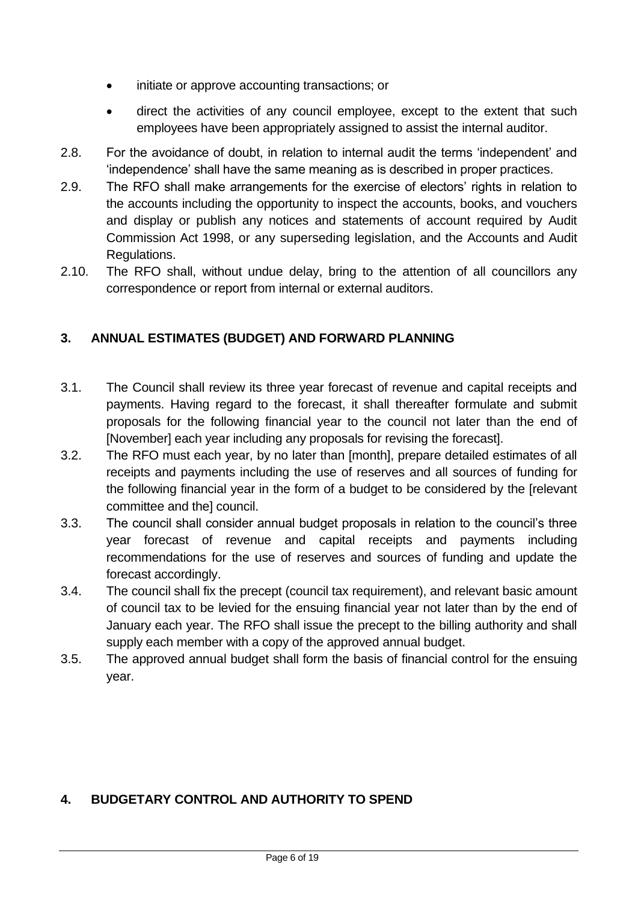- initiate or approve accounting transactions; or
- direct the activities of any council employee, except to the extent that such employees have been appropriately assigned to assist the internal auditor.
- 2.8. For the avoidance of doubt, in relation to internal audit the terms 'independent' and 'independence' shall have the same meaning as is described in proper practices.
- 2.9. The RFO shall make arrangements for the exercise of electors' rights in relation to the accounts including the opportunity to inspect the accounts, books, and vouchers and display or publish any notices and statements of account required by Audit Commission Act 1998, or any superseding legislation, and the Accounts and Audit Regulations.
- 2.10. The RFO shall, without undue delay, bring to the attention of all councillors any correspondence or report from internal or external auditors.

# <span id="page-5-0"></span>**3. ANNUAL ESTIMATES (BUDGET) AND FORWARD PLANNING**

- 3.1. The Council shall review its three year forecast of revenue and capital receipts and payments. Having regard to the forecast, it shall thereafter formulate and submit proposals for the following financial year to the council not later than the end of [November] each year including any proposals for revising the forecast].
- 3.2. The RFO must each year, by no later than [month], prepare detailed estimates of all receipts and payments including the use of reserves and all sources of funding for the following financial year in the form of a budget to be considered by the [relevant committee and the] council.
- 3.3. The council shall consider annual budget proposals in relation to the council's three year forecast of revenue and capital receipts and payments including recommendations for the use of reserves and sources of funding and update the forecast accordingly.
- 3.4. The council shall fix the precept (council tax requirement), and relevant basic amount of council tax to be levied for the ensuing financial year not later than by the end of January each year. The RFO shall issue the precept to the billing authority and shall supply each member with a copy of the approved annual budget.
- 3.5. The approved annual budget shall form the basis of financial control for the ensuing year.

# <span id="page-5-1"></span>**4. BUDGETARY CONTROL AND AUTHORITY TO SPEND**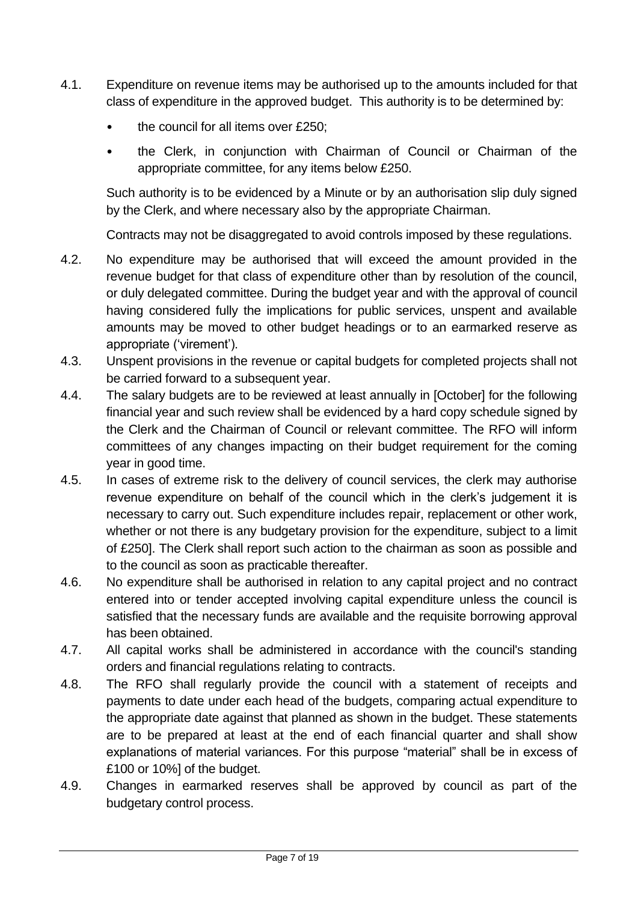- 4.1. Expenditure on revenue items may be authorised up to the amounts included for that class of expenditure in the approved budget. This authority is to be determined by:
	- the council for all items over £250;
	- the Clerk, in conjunction with Chairman of Council or Chairman of the appropriate committee, for any items below £250.

Such authority is to be evidenced by a Minute or by an authorisation slip duly signed by the Clerk, and where necessary also by the appropriate Chairman.

Contracts may not be disaggregated to avoid controls imposed by these regulations.

- 4.2. No expenditure may be authorised that will exceed the amount provided in the revenue budget for that class of expenditure other than by resolution of the council, or duly delegated committee. During the budget year and with the approval of council having considered fully the implications for public services, unspent and available amounts may be moved to other budget headings or to an earmarked reserve as appropriate ('virement').
- 4.3. Unspent provisions in the revenue or capital budgets for completed projects shall not be carried forward to a subsequent year.
- 4.4. The salary budgets are to be reviewed at least annually in [October] for the following financial year and such review shall be evidenced by a hard copy schedule signed by the Clerk and the Chairman of Council or relevant committee. The RFO will inform committees of any changes impacting on their budget requirement for the coming year in good time.
- 4.5. In cases of extreme risk to the delivery of council services, the clerk may authorise revenue expenditure on behalf of the council which in the clerk's judgement it is necessary to carry out. Such expenditure includes repair, replacement or other work, whether or not there is any budgetary provision for the expenditure, subject to a limit of £250]. The Clerk shall report such action to the chairman as soon as possible and to the council as soon as practicable thereafter.
- 4.6. No expenditure shall be authorised in relation to any capital project and no contract entered into or tender accepted involving capital expenditure unless the council is satisfied that the necessary funds are available and the requisite borrowing approval has been obtained.
- 4.7. All capital works shall be administered in accordance with the council's standing orders and financial regulations relating to contracts.
- 4.8. The RFO shall regularly provide the council with a statement of receipts and payments to date under each head of the budgets, comparing actual expenditure to the appropriate date against that planned as shown in the budget. These statements are to be prepared at least at the end of each financial quarter and shall show explanations of material variances. For this purpose "material" shall be in excess of £100 or 10%] of the budget.
- 4.9. Changes in earmarked reserves shall be approved by council as part of the budgetary control process.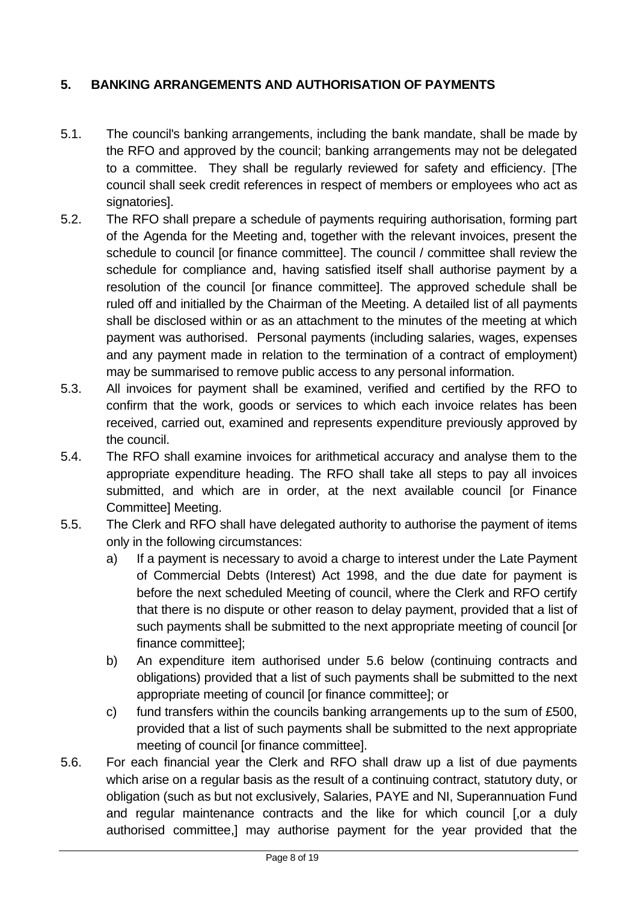# <span id="page-7-0"></span>**5. BANKING ARRANGEMENTS AND AUTHORISATION OF PAYMENTS**

- 5.1. The council's banking arrangements, including the bank mandate, shall be made by the RFO and approved by the council; banking arrangements may not be delegated to a committee. They shall be regularly reviewed for safety and efficiency. [The council shall seek credit references in respect of members or employees who act as signatories].
- 5.2. The RFO shall prepare a schedule of payments requiring authorisation, forming part of the Agenda for the Meeting and, together with the relevant invoices, present the schedule to council [or finance committee]. The council / committee shall review the schedule for compliance and, having satisfied itself shall authorise payment by a resolution of the council [or finance committee]. The approved schedule shall be ruled off and initialled by the Chairman of the Meeting. A detailed list of all payments shall be disclosed within or as an attachment to the minutes of the meeting at which payment was authorised. Personal payments (including salaries, wages, expenses and any payment made in relation to the termination of a contract of employment) may be summarised to remove public access to any personal information.
- 5.3. All invoices for payment shall be examined, verified and certified by the RFO to confirm that the work, goods or services to which each invoice relates has been received, carried out, examined and represents expenditure previously approved by the council.
- 5.4. The RFO shall examine invoices for arithmetical accuracy and analyse them to the appropriate expenditure heading. The RFO shall take all steps to pay all invoices submitted, and which are in order, at the next available council [or Finance Committee] Meeting.
- 5.5. The Clerk and RFO shall have delegated authority to authorise the payment of items only in the following circumstances:
	- a) If a payment is necessary to avoid a charge to interest under the Late Payment of Commercial Debts (Interest) Act 1998, and the due date for payment is before the next scheduled Meeting of council, where the Clerk and RFO certify that there is no dispute or other reason to delay payment, provided that a list of such payments shall be submitted to the next appropriate meeting of council [or finance committee];
	- b) An expenditure item authorised under 5.6 below (continuing contracts and obligations) provided that a list of such payments shall be submitted to the next appropriate meeting of council [or finance committee]; or
	- c) fund transfers within the councils banking arrangements up to the sum of £500, provided that a list of such payments shall be submitted to the next appropriate meeting of council [or finance committee].
- 5.6. For each financial year the Clerk and RFO shall draw up a list of due payments which arise on a regular basis as the result of a continuing contract, statutory duty, or obligation (such as but not exclusively, Salaries, PAYE and NI, Superannuation Fund and regular maintenance contracts and the like for which council [.or a duly authorised committee,] may authorise payment for the year provided that the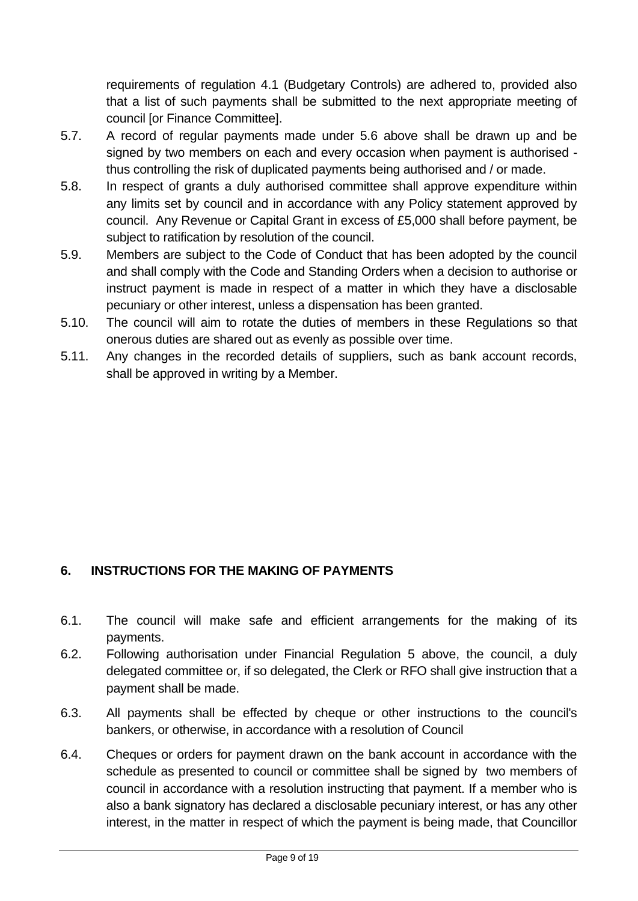requirements of regulation 4.1 (Budgetary Controls) are adhered to, provided also that a list of such payments shall be submitted to the next appropriate meeting of council [or Finance Committee].

- 5.7. A record of regular payments made under 5.6 above shall be drawn up and be signed by two members on each and every occasion when payment is authorised thus controlling the risk of duplicated payments being authorised and / or made.
- 5.8. In respect of grants a duly authorised committee shall approve expenditure within any limits set by council and in accordance with any Policy statement approved by council. Any Revenue or Capital Grant in excess of £5,000 shall before payment, be subject to ratification by resolution of the council.
- 5.9. Members are subject to the Code of Conduct that has been adopted by the council and shall comply with the Code and Standing Orders when a decision to authorise or instruct payment is made in respect of a matter in which they have a disclosable pecuniary or other interest, unless a dispensation has been granted.
- 5.10. The council will aim to rotate the duties of members in these Regulations so that onerous duties are shared out as evenly as possible over time.
- 5.11. Any changes in the recorded details of suppliers, such as bank account records, shall be approved in writing by a Member.

# <span id="page-8-0"></span>**6. INSTRUCTIONS FOR THE MAKING OF PAYMENTS**

- 6.1. The council will make safe and efficient arrangements for the making of its payments.
- 6.2. Following authorisation under Financial Regulation 5 above, the council, a duly delegated committee or, if so delegated, the Clerk or RFO shall give instruction that a payment shall be made.
- 6.3. All payments shall be effected by cheque or other instructions to the council's bankers, or otherwise, in accordance with a resolution of Council
- 6.4. Cheques or orders for payment drawn on the bank account in accordance with the schedule as presented to council or committee shall be signed by two members of council in accordance with a resolution instructing that payment. If a member who is also a bank signatory has declared a disclosable pecuniary interest, or has any other interest, in the matter in respect of which the payment is being made, that Councillor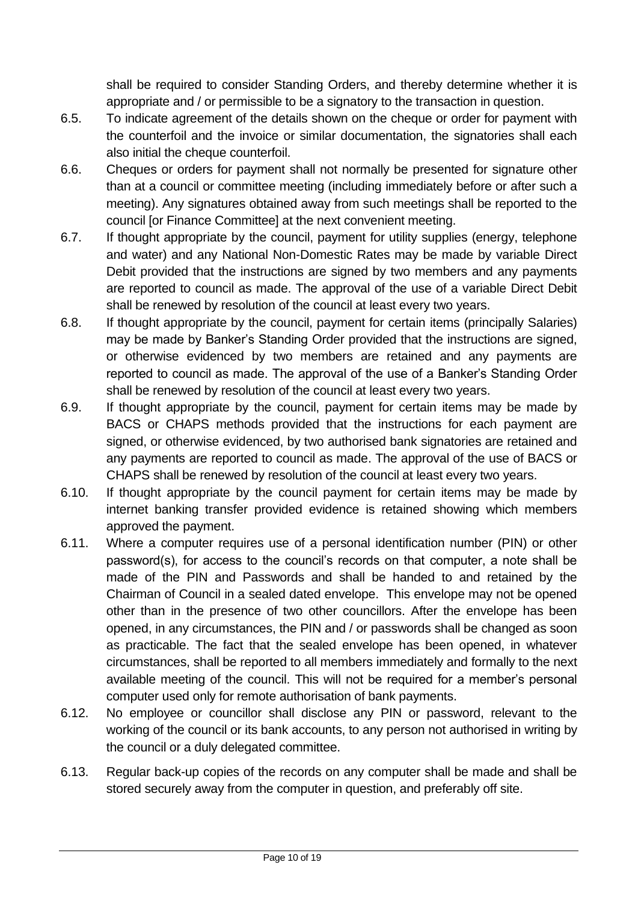shall be required to consider Standing Orders, and thereby determine whether it is appropriate and / or permissible to be a signatory to the transaction in question.

- 6.5. To indicate agreement of the details shown on the cheque or order for payment with the counterfoil and the invoice or similar documentation, the signatories shall each also initial the cheque counterfoil.
- 6.6. Cheques or orders for payment shall not normally be presented for signature other than at a council or committee meeting (including immediately before or after such a meeting). Any signatures obtained away from such meetings shall be reported to the council [or Finance Committee] at the next convenient meeting.
- 6.7. If thought appropriate by the council, payment for utility supplies (energy, telephone and water) and any National Non-Domestic Rates may be made by variable Direct Debit provided that the instructions are signed by two members and any payments are reported to council as made. The approval of the use of a variable Direct Debit shall be renewed by resolution of the council at least every two years.
- 6.8. If thought appropriate by the council, payment for certain items (principally Salaries) may be made by Banker's Standing Order provided that the instructions are signed, or otherwise evidenced by two members are retained and any payments are reported to council as made. The approval of the use of a Banker's Standing Order shall be renewed by resolution of the council at least every two years.
- 6.9. If thought appropriate by the council, payment for certain items may be made by BACS or CHAPS methods provided that the instructions for each payment are signed, or otherwise evidenced, by two authorised bank signatories are retained and any payments are reported to council as made. The approval of the use of BACS or CHAPS shall be renewed by resolution of the council at least every two years.
- 6.10. If thought appropriate by the council payment for certain items may be made by internet banking transfer provided evidence is retained showing which members approved the payment.
- 6.11. Where a computer requires use of a personal identification number (PIN) or other password(s), for access to the council's records on that computer, a note shall be made of the PIN and Passwords and shall be handed to and retained by the Chairman of Council in a sealed dated envelope. This envelope may not be opened other than in the presence of two other councillors. After the envelope has been opened, in any circumstances, the PIN and / or passwords shall be changed as soon as practicable. The fact that the sealed envelope has been opened, in whatever circumstances, shall be reported to all members immediately and formally to the next available meeting of the council. This will not be required for a member's personal computer used only for remote authorisation of bank payments.
- 6.12. No employee or councillor shall disclose any PIN or password, relevant to the working of the council or its bank accounts, to any person not authorised in writing by the council or a duly delegated committee.
- 6.13. Regular back-up copies of the records on any computer shall be made and shall be stored securely away from the computer in question, and preferably off site.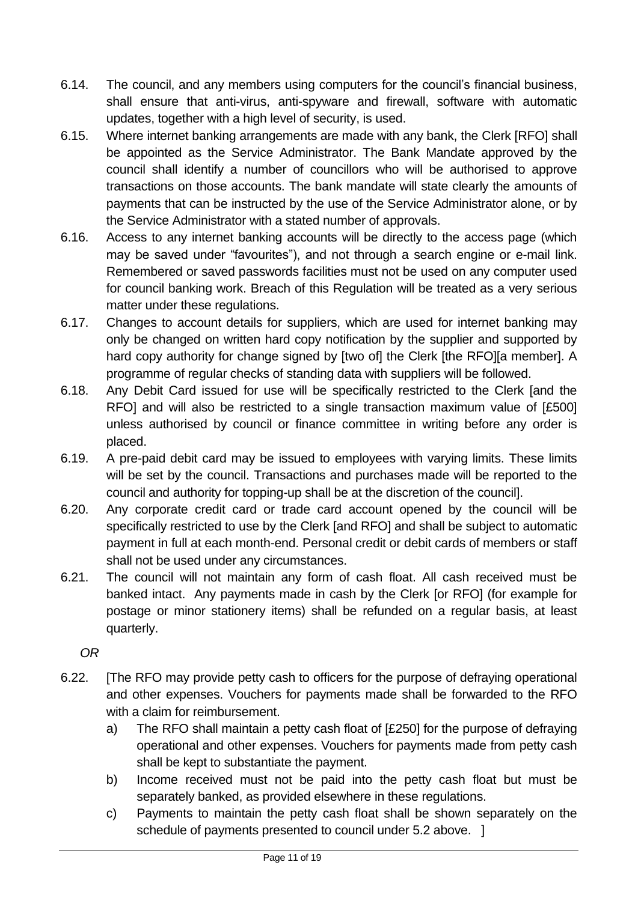- 6.14. The council, and any members using computers for the council's financial business, shall ensure that anti-virus, anti-spyware and firewall, software with automatic updates, together with a high level of security, is used.
- 6.15. Where internet banking arrangements are made with any bank, the Clerk [RFO] shall be appointed as the Service Administrator. The Bank Mandate approved by the council shall identify a number of councillors who will be authorised to approve transactions on those accounts. The bank mandate will state clearly the amounts of payments that can be instructed by the use of the Service Administrator alone, or by the Service Administrator with a stated number of approvals.
- 6.16. Access to any internet banking accounts will be directly to the access page (which may be saved under "favourites"), and not through a search engine or e-mail link. Remembered or saved passwords facilities must not be used on any computer used for council banking work. Breach of this Regulation will be treated as a very serious matter under these regulations.
- 6.17. Changes to account details for suppliers, which are used for internet banking may only be changed on written hard copy notification by the supplier and supported by hard copy authority for change signed by [two of] the Clerk [the RFO][a member]. A programme of regular checks of standing data with suppliers will be followed.
- 6.18. Any Debit Card issued for use will be specifically restricted to the Clerk [and the RFO] and will also be restricted to a single transaction maximum value of [£500] unless authorised by council or finance committee in writing before any order is placed.
- 6.19. A pre-paid debit card may be issued to employees with varying limits. These limits will be set by the council. Transactions and purchases made will be reported to the council and authority for topping-up shall be at the discretion of the council].
- 6.20. Any corporate credit card or trade card account opened by the council will be specifically restricted to use by the Clerk [and RFO] and shall be subject to automatic payment in full at each month-end. Personal credit or debit cards of members or staff shall not be used under any circumstances.
- 6.21. The council will not maintain any form of cash float. All cash received must be banked intact. Any payments made in cash by the Clerk [or RFO] (for example for postage or minor stationery items) shall be refunded on a regular basis, at least quarterly.

*OR* 

- 6.22. [The RFO may provide petty cash to officers for the purpose of defraying operational and other expenses. Vouchers for payments made shall be forwarded to the RFO with a claim for reimbursement.
	- a) The RFO shall maintain a petty cash float of [£250] for the purpose of defraying operational and other expenses. Vouchers for payments made from petty cash shall be kept to substantiate the payment.
	- b) Income received must not be paid into the petty cash float but must be separately banked, as provided elsewhere in these regulations.
	- c) Payments to maintain the petty cash float shall be shown separately on the schedule of payments presented to council under 5.2 above. 1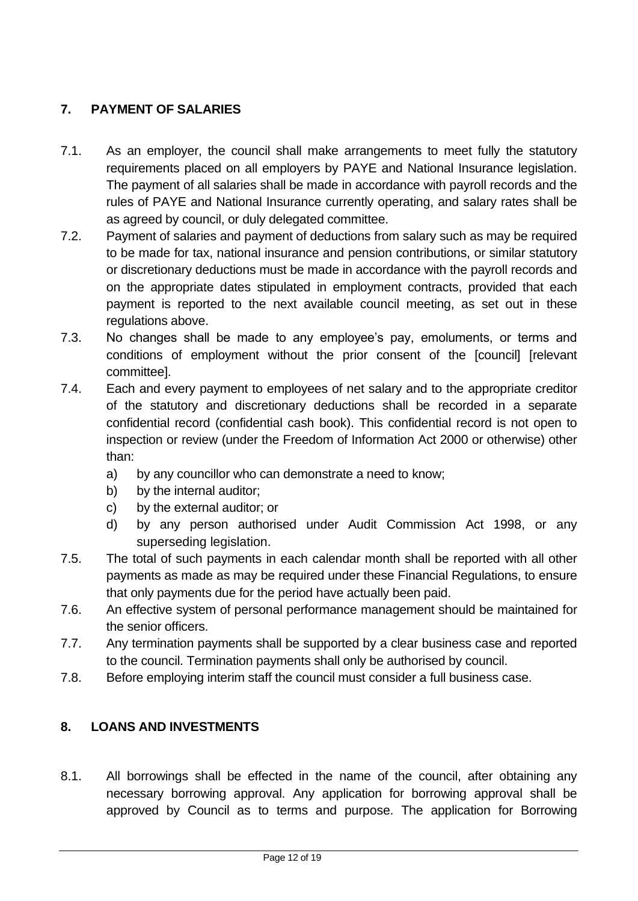# <span id="page-11-0"></span>**7. PAYMENT OF SALARIES**

- 7.1. As an employer, the council shall make arrangements to meet fully the statutory requirements placed on all employers by PAYE and National Insurance legislation. The payment of all salaries shall be made in accordance with payroll records and the rules of PAYE and National Insurance currently operating, and salary rates shall be as agreed by council, or duly delegated committee.
- 7.2. Payment of salaries and payment of deductions from salary such as may be required to be made for tax, national insurance and pension contributions, or similar statutory or discretionary deductions must be made in accordance with the payroll records and on the appropriate dates stipulated in employment contracts, provided that each payment is reported to the next available council meeting, as set out in these regulations above.
- 7.3. No changes shall be made to any employee's pay, emoluments, or terms and conditions of employment without the prior consent of the [council] [relevant committee].
- 7.4. Each and every payment to employees of net salary and to the appropriate creditor of the statutory and discretionary deductions shall be recorded in a separate confidential record (confidential cash book). This confidential record is not open to inspection or review (under the Freedom of Information Act 2000 or otherwise) other than:
	- a) by any councillor who can demonstrate a need to know;
	- b) by the internal auditor;
	- c) by the external auditor; or
	- d) by any person authorised under Audit Commission Act 1998, or any superseding legislation.
- 7.5. The total of such payments in each calendar month shall be reported with all other payments as made as may be required under these Financial Regulations, to ensure that only payments due for the period have actually been paid.
- 7.6. An effective system of personal performance management should be maintained for the senior officers.
- 7.7. Any termination payments shall be supported by a clear business case and reported to the council. Termination payments shall only be authorised by council.
- 7.8. Before employing interim staff the council must consider a full business case.

# <span id="page-11-1"></span>**8. LOANS AND INVESTMENTS**

8.1. All borrowings shall be effected in the name of the council, after obtaining any necessary borrowing approval. Any application for borrowing approval shall be approved by Council as to terms and purpose. The application for Borrowing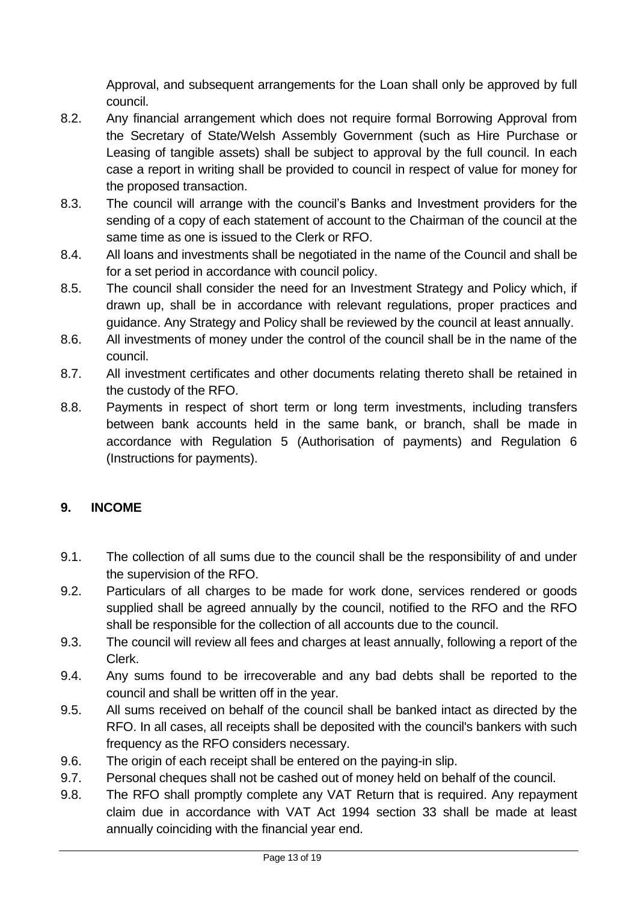Approval, and subsequent arrangements for the Loan shall only be approved by full council.

- 8.2. Any financial arrangement which does not require formal Borrowing Approval from the Secretary of State/Welsh Assembly Government (such as Hire Purchase or Leasing of tangible assets) shall be subject to approval by the full council. In each case a report in writing shall be provided to council in respect of value for money for the proposed transaction.
- 8.3. The council will arrange with the council's Banks and Investment providers for the sending of a copy of each statement of account to the Chairman of the council at the same time as one is issued to the Clerk or RFO.
- 8.4. All loans and investments shall be negotiated in the name of the Council and shall be for a set period in accordance with council policy.
- 8.5. The council shall consider the need for an Investment Strategy and Policy which, if drawn up, shall be in accordance with relevant regulations, proper practices and guidance. Any Strategy and Policy shall be reviewed by the council at least annually.
- 8.6. All investments of money under the control of the council shall be in the name of the council.
- 8.7. All investment certificates and other documents relating thereto shall be retained in the custody of the RFO.
- 8.8. Payments in respect of short term or long term investments, including transfers between bank accounts held in the same bank, or branch, shall be made in accordance with Regulation 5 (Authorisation of payments) and Regulation 6 (Instructions for payments).

# <span id="page-12-0"></span>**9. INCOME**

- 9.1. The collection of all sums due to the council shall be the responsibility of and under the supervision of the RFO.
- 9.2. Particulars of all charges to be made for work done, services rendered or goods supplied shall be agreed annually by the council, notified to the RFO and the RFO shall be responsible for the collection of all accounts due to the council.
- 9.3. The council will review all fees and charges at least annually, following a report of the Clerk.
- 9.4. Any sums found to be irrecoverable and any bad debts shall be reported to the council and shall be written off in the year.
- 9.5. All sums received on behalf of the council shall be banked intact as directed by the RFO. In all cases, all receipts shall be deposited with the council's bankers with such frequency as the RFO considers necessary.
- 9.6. The origin of each receipt shall be entered on the paying-in slip.
- 9.7. Personal cheques shall not be cashed out of money held on behalf of the council.
- 9.8. The RFO shall promptly complete any VAT Return that is required. Any repayment claim due in accordance with VAT Act 1994 section 33 shall be made at least annually coinciding with the financial year end.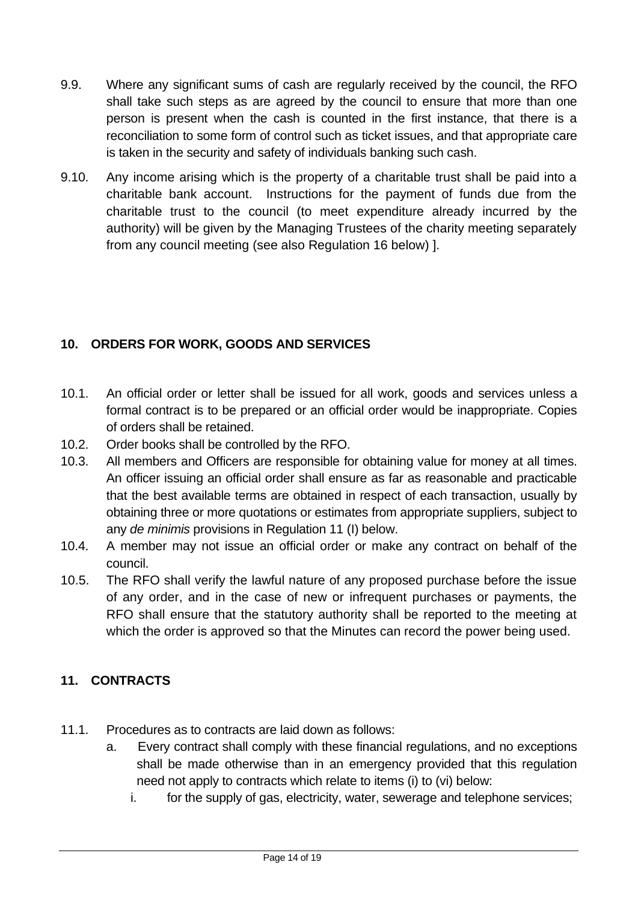- 9.9. Where any significant sums of cash are regularly received by the council, the RFO shall take such steps as are agreed by the council to ensure that more than one person is present when the cash is counted in the first instance, that there is a reconciliation to some form of control such as ticket issues, and that appropriate care is taken in the security and safety of individuals banking such cash.
- 9.10. Any income arising which is the property of a charitable trust shall be paid into a charitable bank account. Instructions for the payment of funds due from the charitable trust to the council (to meet expenditure already incurred by the authority) will be given by the Managing Trustees of the charity meeting separately from any council meeting (see also Regulation 16 below) ].

# <span id="page-13-0"></span>**10. ORDERS FOR WORK, GOODS AND SERVICES**

- 10.1. An official order or letter shall be issued for all work, goods and services unless a formal contract is to be prepared or an official order would be inappropriate. Copies of orders shall be retained.
- 10.2. Order books shall be controlled by the RFO.
- 10.3. All members and Officers are responsible for obtaining value for money at all times. An officer issuing an official order shall ensure as far as reasonable and practicable that the best available terms are obtained in respect of each transaction, usually by obtaining three or more quotations or estimates from appropriate suppliers, subject to any *de minimis* provisions in Regulation 11 (I) below.
- 10.4. A member may not issue an official order or make any contract on behalf of the council.
- 10.5. The RFO shall verify the lawful nature of any proposed purchase before the issue of any order, and in the case of new or infrequent purchases or payments, the RFO shall ensure that the statutory authority shall be reported to the meeting at which the order is approved so that the Minutes can record the power being used.

# <span id="page-13-1"></span>**11. CONTRACTS**

- 11.1. Procedures as to contracts are laid down as follows:
	- a. Every contract shall comply with these financial regulations, and no exceptions shall be made otherwise than in an emergency provided that this regulation need not apply to contracts which relate to items (i) to (vi) below:
		- i. for the supply of gas, electricity, water, sewerage and telephone services;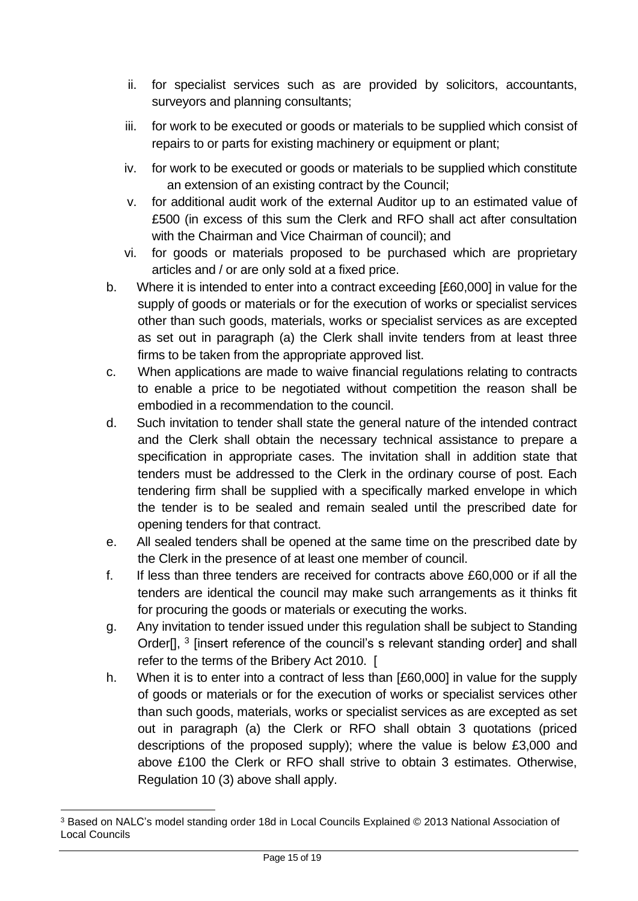- ii. for specialist services such as are provided by solicitors, accountants, surveyors and planning consultants;
- iii. for work to be executed or goods or materials to be supplied which consist of repairs to or parts for existing machinery or equipment or plant;
- iv. for work to be executed or goods or materials to be supplied which constitute an extension of an existing contract by the Council;
- v. for additional audit work of the external Auditor up to an estimated value of £500 (in excess of this sum the Clerk and RFO shall act after consultation with the Chairman and Vice Chairman of council); and
- vi. for goods or materials proposed to be purchased which are proprietary articles and / or are only sold at a fixed price.
- b. Where it is intended to enter into a contract exceeding [£60,000] in value for the supply of goods or materials or for the execution of works or specialist services other than such goods, materials, works or specialist services as are excepted as set out in paragraph (a) the Clerk shall invite tenders from at least three firms to be taken from the appropriate approved list.
- c. When applications are made to waive financial regulations relating to contracts to enable a price to be negotiated without competition the reason shall be embodied in a recommendation to the council.
- d. Such invitation to tender shall state the general nature of the intended contract and the Clerk shall obtain the necessary technical assistance to prepare a specification in appropriate cases. The invitation shall in addition state that tenders must be addressed to the Clerk in the ordinary course of post. Each tendering firm shall be supplied with a specifically marked envelope in which the tender is to be sealed and remain sealed until the prescribed date for opening tenders for that contract.
- e. All sealed tenders shall be opened at the same time on the prescribed date by the Clerk in the presence of at least one member of council.
- f. If less than three tenders are received for contracts above £60,000 or if all the tenders are identical the council may make such arrangements as it thinks fit for procuring the goods or materials or executing the works.
- g. Any invitation to tender issued under this regulation shall be subject to Standing Order[], <sup>3</sup> [insert reference of the council's s relevant standing order] and shall refer to the terms of the Bribery Act 2010. [
- h. When it is to enter into a contract of less than [£60,000] in value for the supply of goods or materials or for the execution of works or specialist services other than such goods, materials, works or specialist services as are excepted as set out in paragraph (a) the Clerk or RFO shall obtain 3 quotations (priced descriptions of the proposed supply); where the value is below £3,000 and above £100 the Clerk or RFO shall strive to obtain 3 estimates. Otherwise, Regulation 10 (3) above shall apply.

<sup>3</sup> Based on NALC's model standing order 18d in Local Councils Explained © 2013 National Association of Local Councils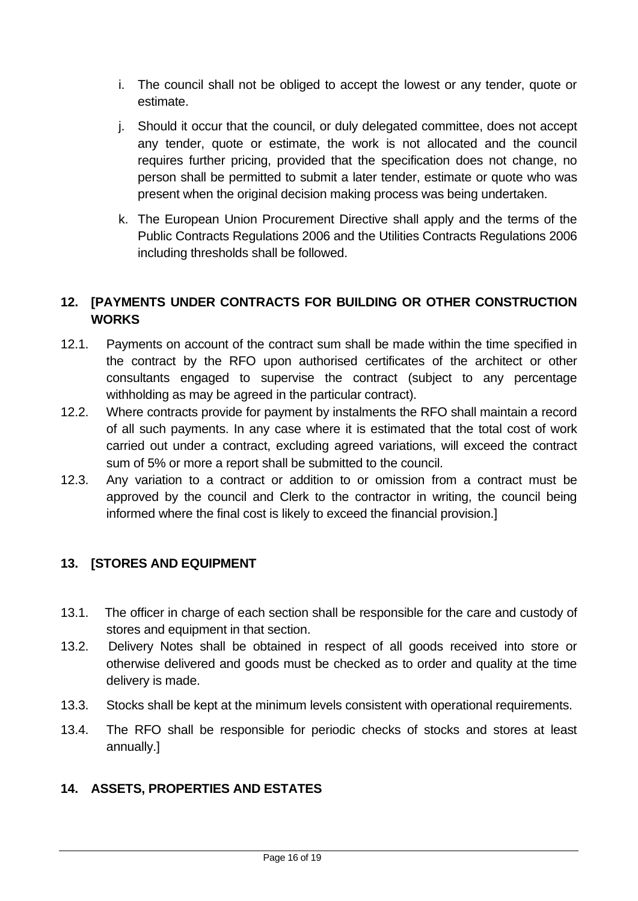- i. The council shall not be obliged to accept the lowest or any tender, quote or estimate.
- j. Should it occur that the council, or duly delegated committee, does not accept any tender, quote or estimate, the work is not allocated and the council requires further pricing, provided that the specification does not change, no person shall be permitted to submit a later tender, estimate or quote who was present when the original decision making process was being undertaken.
- k. The European Union Procurement Directive shall apply and the terms of the Public Contracts Regulations 2006 and the Utilities Contracts Regulations 2006 including thresholds shall be followed.

# <span id="page-15-0"></span>**12. [PAYMENTS UNDER CONTRACTS FOR BUILDING OR OTHER CONSTRUCTION WORKS**

- 12.1. Payments on account of the contract sum shall be made within the time specified in the contract by the RFO upon authorised certificates of the architect or other consultants engaged to supervise the contract (subject to any percentage withholding as may be agreed in the particular contract).
- 12.2. Where contracts provide for payment by instalments the RFO shall maintain a record of all such payments. In any case where it is estimated that the total cost of work carried out under a contract, excluding agreed variations, will exceed the contract sum of 5% or more a report shall be submitted to the council.
- 12.3. Any variation to a contract or addition to or omission from a contract must be approved by the council and Clerk to the contractor in writing, the council being informed where the final cost is likely to exceed the financial provision.]

# <span id="page-15-1"></span>**13. [STORES AND EQUIPMENT**

- 13.1. The officer in charge of each section shall be responsible for the care and custody of stores and equipment in that section.
- 13.2. Delivery Notes shall be obtained in respect of all goods received into store or otherwise delivered and goods must be checked as to order and quality at the time delivery is made.
- 13.3. Stocks shall be kept at the minimum levels consistent with operational requirements.
- 13.4. The RFO shall be responsible for periodic checks of stocks and stores at least annually.]

# <span id="page-15-2"></span>**14. ASSETS, PROPERTIES AND ESTATES**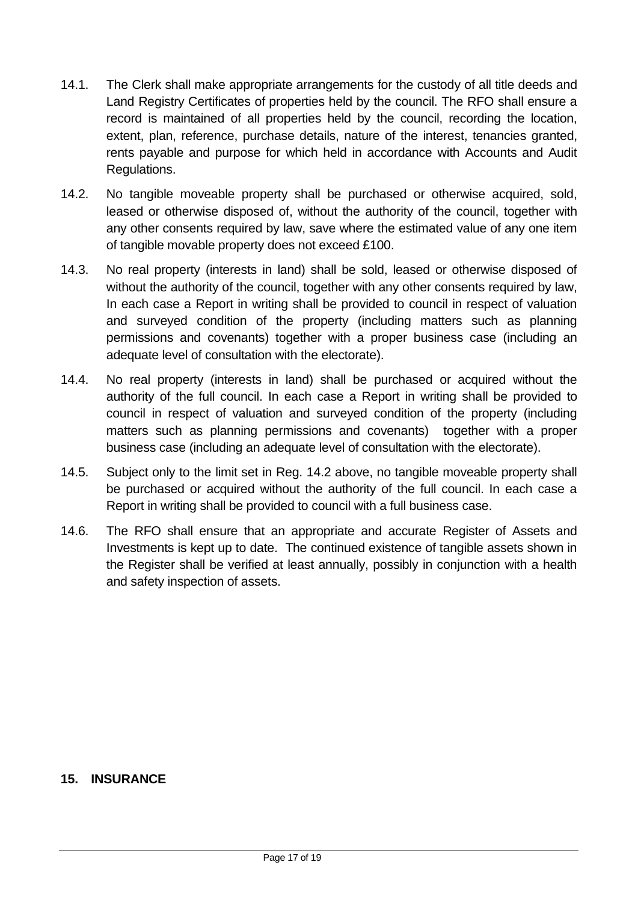- 14.1. The Clerk shall make appropriate arrangements for the custody of all title deeds and Land Registry Certificates of properties held by the council. The RFO shall ensure a record is maintained of all properties held by the council, recording the location, extent, plan, reference, purchase details, nature of the interest, tenancies granted, rents payable and purpose for which held in accordance with Accounts and Audit Regulations.
- 14.2. No tangible moveable property shall be purchased or otherwise acquired, sold, leased or otherwise disposed of, without the authority of the council, together with any other consents required by law, save where the estimated value of any one item of tangible movable property does not exceed £100.
- 14.3. No real property (interests in land) shall be sold, leased or otherwise disposed of without the authority of the council, together with any other consents required by law, In each case a Report in writing shall be provided to council in respect of valuation and surveyed condition of the property (including matters such as planning permissions and covenants) together with a proper business case (including an adequate level of consultation with the electorate).
- 14.4. No real property (interests in land) shall be purchased or acquired without the authority of the full council. In each case a Report in writing shall be provided to council in respect of valuation and surveyed condition of the property (including matters such as planning permissions and covenants) together with a proper business case (including an adequate level of consultation with the electorate).
- 14.5. Subject only to the limit set in Reg. 14.2 above, no tangible moveable property shall be purchased or acquired without the authority of the full council. In each case a Report in writing shall be provided to council with a full business case.
- 14.6. The RFO shall ensure that an appropriate and accurate Register of Assets and Investments is kept up to date. The continued existence of tangible assets shown in the Register shall be verified at least annually, possibly in conjunction with a health and safety inspection of assets.

#### <span id="page-16-0"></span>**15. INSURANCE**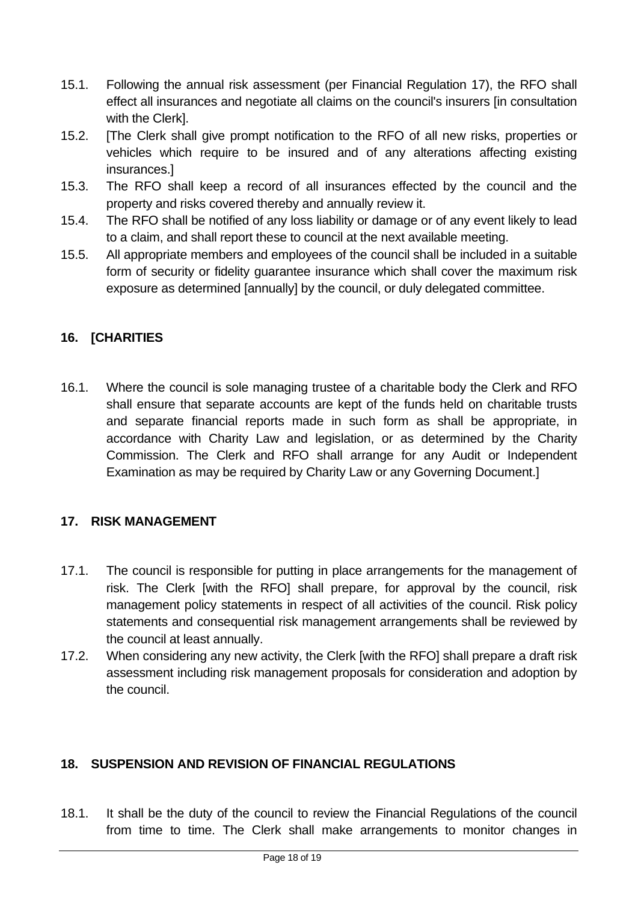- 15.1. Following the annual risk assessment (per Financial Regulation 17), the RFO shall effect all insurances and negotiate all claims on the council's insurers [in consultation with the Clerk].
- 15.2. [The Clerk shall give prompt notification to the RFO of all new risks, properties or vehicles which require to be insured and of any alterations affecting existing insurances.]
- 15.3. The RFO shall keep a record of all insurances effected by the council and the property and risks covered thereby and annually review it.
- 15.4. The RFO shall be notified of any loss liability or damage or of any event likely to lead to a claim, and shall report these to council at the next available meeting.
- 15.5. All appropriate members and employees of the council shall be included in a suitable form of security or fidelity guarantee insurance which shall cover the maximum risk exposure as determined [annually] by the council, or duly delegated committee.

# <span id="page-17-0"></span>**16. [CHARITIES**

16.1. Where the council is sole managing trustee of a charitable body the Clerk and RFO shall ensure that separate accounts are kept of the funds held on charitable trusts and separate financial reports made in such form as shall be appropriate, in accordance with Charity Law and legislation, or as determined by the Charity Commission. The Clerk and RFO shall arrange for any Audit or Independent Examination as may be required by Charity Law or any Governing Document.]

#### <span id="page-17-1"></span>**17. RISK MANAGEMENT**

- 17.1. The council is responsible for putting in place arrangements for the management of risk. The Clerk [with the RFO] shall prepare, for approval by the council, risk management policy statements in respect of all activities of the council. Risk policy statements and consequential risk management arrangements shall be reviewed by the council at least annually.
- 17.2. When considering any new activity, the Clerk [with the RFO] shall prepare a draft risk assessment including risk management proposals for consideration and adoption by the council.

# <span id="page-17-2"></span>**18. SUSPENSION AND REVISION OF FINANCIAL REGULATIONS**

18.1. It shall be the duty of the council to review the Financial Regulations of the council from time to time. The Clerk shall make arrangements to monitor changes in